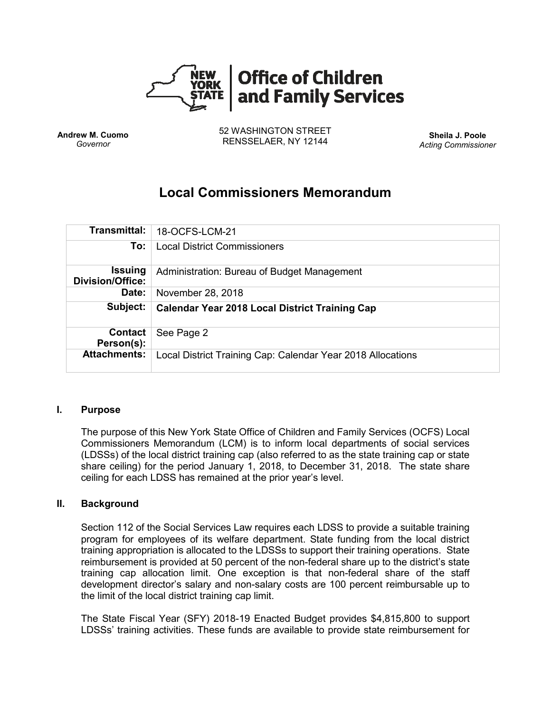

**Andrew M. Cuomo** *Governor*

52 WASHINGTON STREET RENSSELAER, NY 12144 **Sheila J. Poole**

*Acting Commissioner*

# **Local Commissioners Memorandum**

| Transmittal:                              | 18-OCFS-LCM-21                                              |
|-------------------------------------------|-------------------------------------------------------------|
| To:                                       | <b>Local District Commissioners</b>                         |
| <b>Issuing</b><br><b>Division/Office:</b> | Administration: Bureau of Budget Management                 |
| Date:                                     | November 28, 2018                                           |
| Subject:                                  | <b>Calendar Year 2018 Local District Training Cap</b>       |
| Contact<br>Person(s):                     | See Page 2                                                  |
| <b>Attachments:</b>                       | Local District Training Cap: Calendar Year 2018 Allocations |

#### **I. Purpose**

The purpose of this New York State Office of Children and Family Services (OCFS) Local Commissioners Memorandum (LCM) is to inform local departments of social services (LDSSs) of the local district training cap (also referred to as the state training cap or state share ceiling) for the period January 1, 2018, to December 31, 2018. The state share ceiling for each LDSS has remained at the prior year's level.

#### **II. Background**

Section 112 of the Social Services Law requires each LDSS to provide a suitable training program for employees of its welfare department. State funding from the local district training appropriation is allocated to the LDSSs to support their training operations. State reimbursement is provided at 50 percent of the non-federal share up to the district's state training cap allocation limit. One exception is that non-federal share of the staff development director's salary and non-salary costs are 100 percent reimbursable up to the limit of the local district training cap limit.

The State Fiscal Year (SFY) 2018-19 Enacted Budget provides \$4,815,800 to support LDSSs' training activities. These funds are available to provide state reimbursement for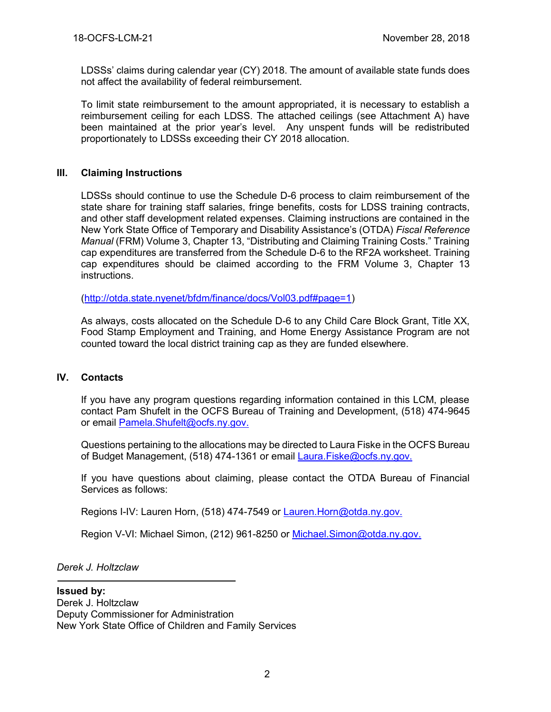LDSSs' claims during calendar year (CY) 2018. The amount of available state funds does not affect the availability of federal reimbursement.

To limit state reimbursement to the amount appropriated, it is necessary to establish a reimbursement ceiling for each LDSS. The attached ceilings (see Attachment A) have been maintained at the prior year's level. Any unspent funds will be redistributed proportionately to LDSSs exceeding their CY 2018 allocation.

## **III. Claiming Instructions**

LDSSs should continue to use the Schedule D-6 process to claim reimbursement of the state share for training staff salaries, fringe benefits, costs for LDSS training contracts, and other staff development related expenses. Claiming instructions are contained in the New York State Office of Temporary and Disability Assistance's (OTDA) *Fiscal Reference Manual* (FRM) Volume 3, Chapter 13, "Distributing and Claiming Training Costs." Training cap expenditures are transferred from the Schedule D-6 to the RF2A worksheet. Training cap expenditures should be claimed according to the FRM Volume 3, Chapter 13 instructions.

[\(http://otda.state.nyenet/bfdm/finance/docs/Vol03.pdf#page=1\)](http://otda.state.nyenet/bfdm/finance/docs/Vol03.pdf#page=1)

As always, costs allocated on the Schedule D-6 to any Child Care Block Grant, Title XX, Food Stamp Employment and Training, and Home Energy Assistance Program are not counted toward the local district training cap as they are funded elsewhere.

### **IV. Contacts**

If you have any program questions regarding information contained in this LCM, please contact Pam Shufelt in the OCFS Bureau of Training and Development, (518) 474-9645 or email [Pamela.Shufelt@ocfs.ny.gov.](mailto:Pamela.Shufelt@ocfs.ny.gov)

Questions pertaining to the allocations may be directed to Laura Fiske in the OCFS Bureau of Budget Management, (518) 474-1361 or email Laura. Fiske@ocfs.ny.gov.

If you have questions about claiming, please contact the OTDA Bureau of Financial Services as follows:

Regions I-IV: Lauren Horn, (518) 474-7549 or Lauren. Horn@otda.ny.gov.

Region V-VI: Michael Simon, (212) 961-8250 or [Michael.Simon@otda.ny.gov.](mailto:Michael.Simon@otda.ny.gov)

*Derek J. Holtzclaw*

**Issued by:** Derek J. Holtzclaw Deputy Commissioner for Administration New York State Office of Children and Family Services